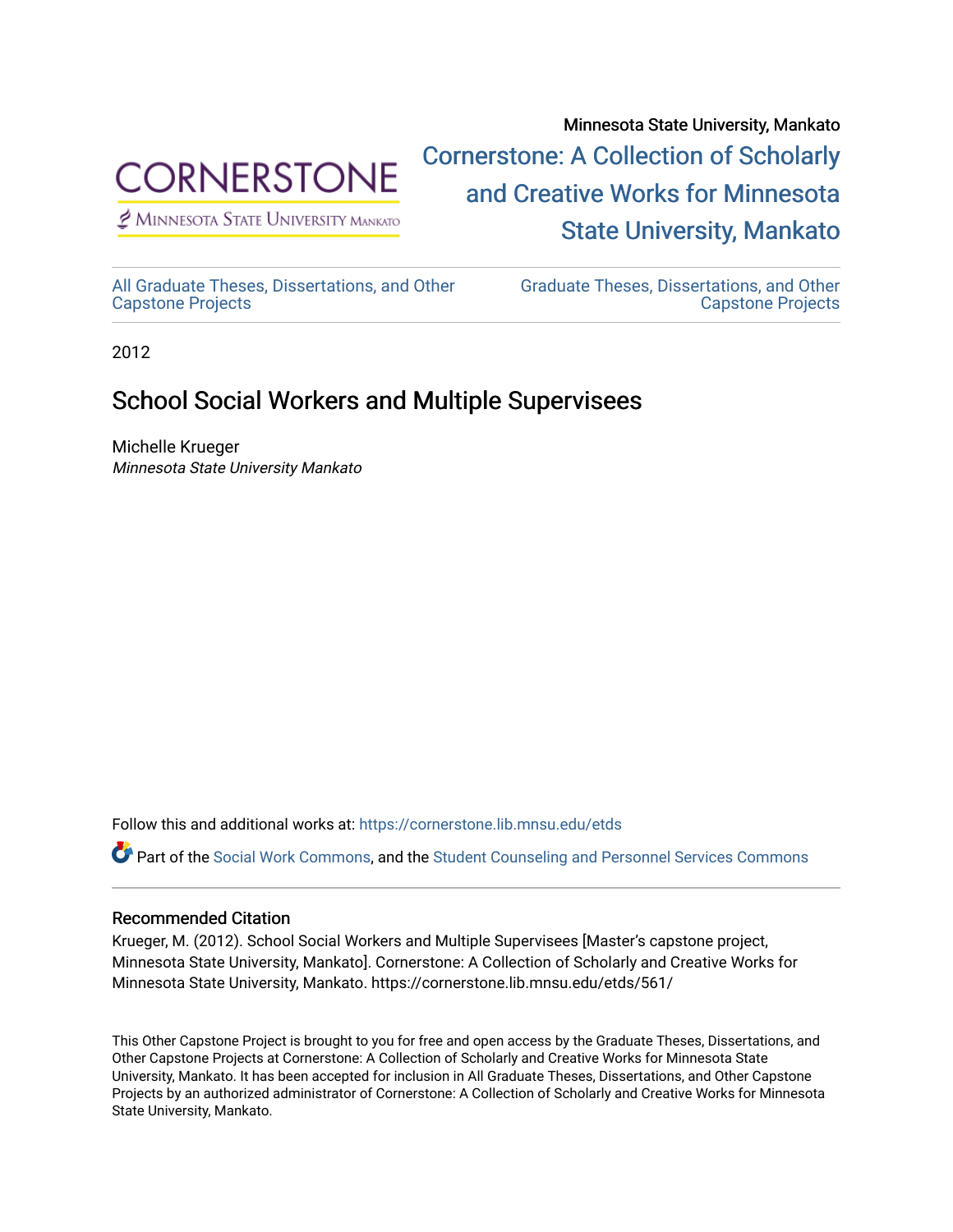

 $<sup>2</sup>$  Minnesota State University Mankato</sup>

Minnesota State University, Mankato [Cornerstone: A Collection of Scholarly](https://cornerstone.lib.mnsu.edu/)  [and Creative Works for Minnesota](https://cornerstone.lib.mnsu.edu/)  [State University, Mankato](https://cornerstone.lib.mnsu.edu/) 

[All Graduate Theses, Dissertations, and Other](https://cornerstone.lib.mnsu.edu/etds)  [Capstone Projects](https://cornerstone.lib.mnsu.edu/etds) 

[Graduate Theses, Dissertations, and Other](https://cornerstone.lib.mnsu.edu/theses_dissertations-capstone)  [Capstone Projects](https://cornerstone.lib.mnsu.edu/theses_dissertations-capstone) 

2012

#### School Social Workers and Multiple Supervisees

Michelle Krueger Minnesota State University Mankato

Follow this and additional works at: [https://cornerstone.lib.mnsu.edu/etds](https://cornerstone.lib.mnsu.edu/etds?utm_source=cornerstone.lib.mnsu.edu%2Fetds%2F561&utm_medium=PDF&utm_campaign=PDFCoverPages) 

Part of the [Social Work Commons](http://network.bepress.com/hgg/discipline/713?utm_source=cornerstone.lib.mnsu.edu%2Fetds%2F561&utm_medium=PDF&utm_campaign=PDFCoverPages), and the [Student Counseling and Personnel Services Commons](http://network.bepress.com/hgg/discipline/802?utm_source=cornerstone.lib.mnsu.edu%2Fetds%2F561&utm_medium=PDF&utm_campaign=PDFCoverPages) 

#### Recommended Citation

Krueger, M. (2012). School Social Workers and Multiple Supervisees [Master's capstone project, Minnesota State University, Mankato]. Cornerstone: A Collection of Scholarly and Creative Works for Minnesota State University, Mankato. https://cornerstone.lib.mnsu.edu/etds/561/

This Other Capstone Project is brought to you for free and open access by the Graduate Theses, Dissertations, and Other Capstone Projects at Cornerstone: A Collection of Scholarly and Creative Works for Minnesota State University, Mankato. It has been accepted for inclusion in All Graduate Theses, Dissertations, and Other Capstone Projects by an authorized administrator of Cornerstone: A Collection of Scholarly and Creative Works for Minnesota State University, Mankato.